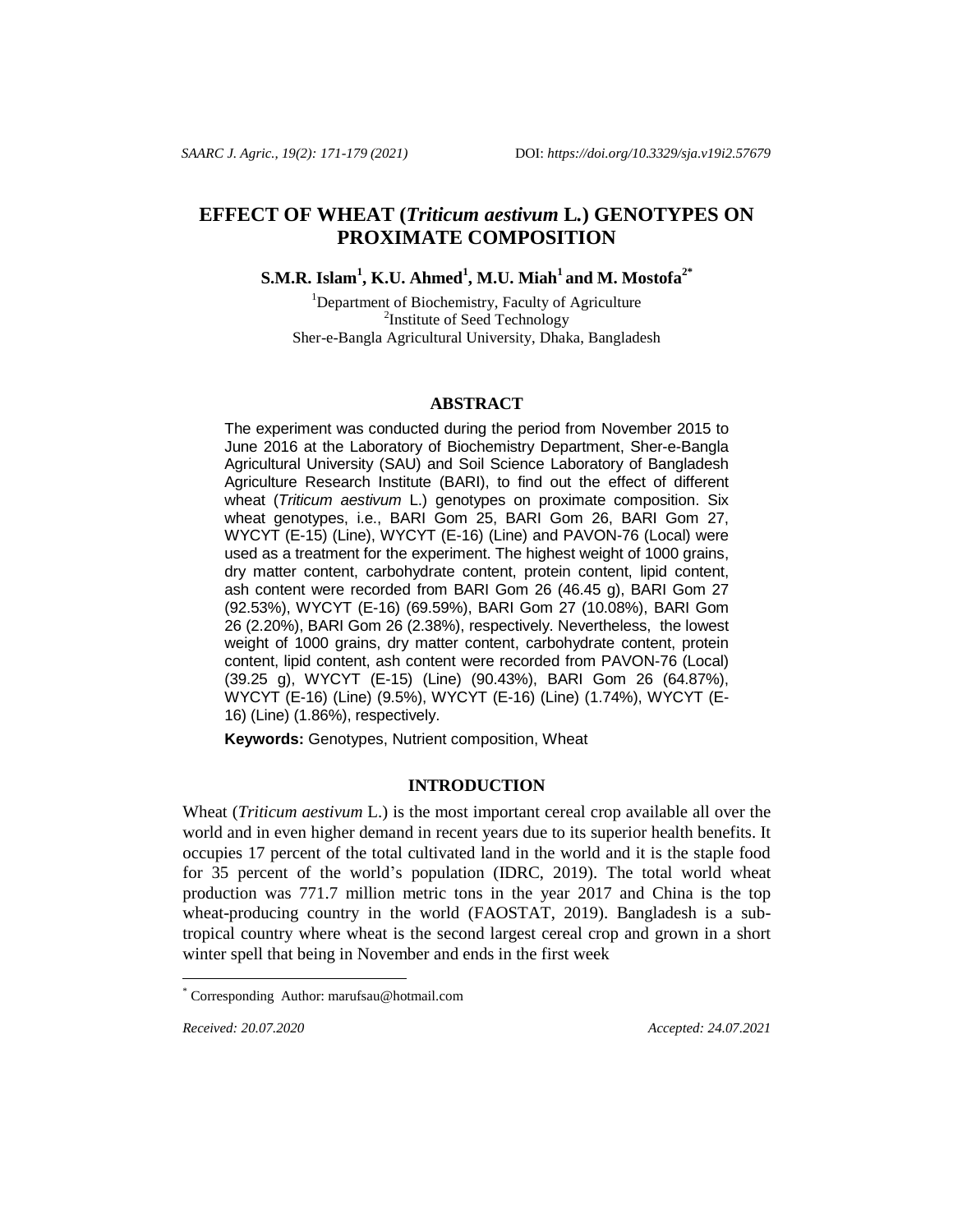# **EFFECT OF WHEAT (***Triticum aestivum* **L***.***) GENOTYPES ON PROXIMATE COMPOSITION**

**S.M.R. Islam<sup>1</sup> , K.U. Ahmed<sup>1</sup> , M.U. Miah<sup>1</sup> and M. Mostofa2\***

<sup>1</sup>Department of Biochemistry, Faculty of Agriculture <sup>2</sup>Institute of Seed Technology Sher-e-Bangla Agricultural University, Dhaka, Bangladesh

#### **ABSTRACT**

The experiment was conducted during the period from November 2015 to June 2016 at the Laboratory of Biochemistry Department, Sher-e-Bangla Agricultural University (SAU) and Soil Science Laboratory of Bangladesh Agriculture Research Institute (BARI), to find out the effect of different wheat (*Triticum aestivum* L.) genotypes on proximate composition. Six wheat genotypes, i.e., BARI Gom 25, BARI Gom 26, BARI Gom 27, WYCYT (E-15) (Line), WYCYT (E-16) (Line) and PAVON-76 (Local) were used as a treatment for the experiment. The highest weight of 1000 grains, dry matter content, carbohydrate content, protein content, lipid content, ash content were recorded from BARI Gom 26 (46.45 g), BARI Gom 27 (92.53%), WYCYT (E-16) (69.59%), BARI Gom 27 (10.08%), BARI Gom 26 (2.20%), BARI Gom 26 (2.38%), respectively. Nevertheless, the lowest weight of 1000 grains, dry matter content, carbohydrate content, protein content, lipid content, ash content were recorded from PAVON-76 (Local) (39.25 g), WYCYT (E-15) (Line) (90.43%), BARI Gom 26 (64.87%), WYCYT (E-16) (Line) (9.5%), WYCYT (E-16) (Line) (1.74%), WYCYT (E-16) (Line) (1.86%), respectively.

**Keywords:** Genotypes, Nutrient composition, Wheat

# **INTRODUCTION**

Wheat (*Triticum aestivum* L.) is the most important cereal crop available all over the world and in even higher demand in recent years due to its superior health benefits. It occupies 17 percent of the total cultivated land in the world and it is the staple food for 35 percent of the world's population (IDRC, 2019). The total world wheat production was 771.7 million metric tons in the year 2017 and China is the top wheat-producing country in the world (FAOSTAT, 2019). Bangladesh is a subtropical country where wheat is the second largest cereal crop and grown in a short winter spell that being in November and ends in the first week

 $\overline{a}$ 

*Received: 20.07.2020 Accepted: 24.07.2021*

Corresponding Author: marufsau@hotmail.com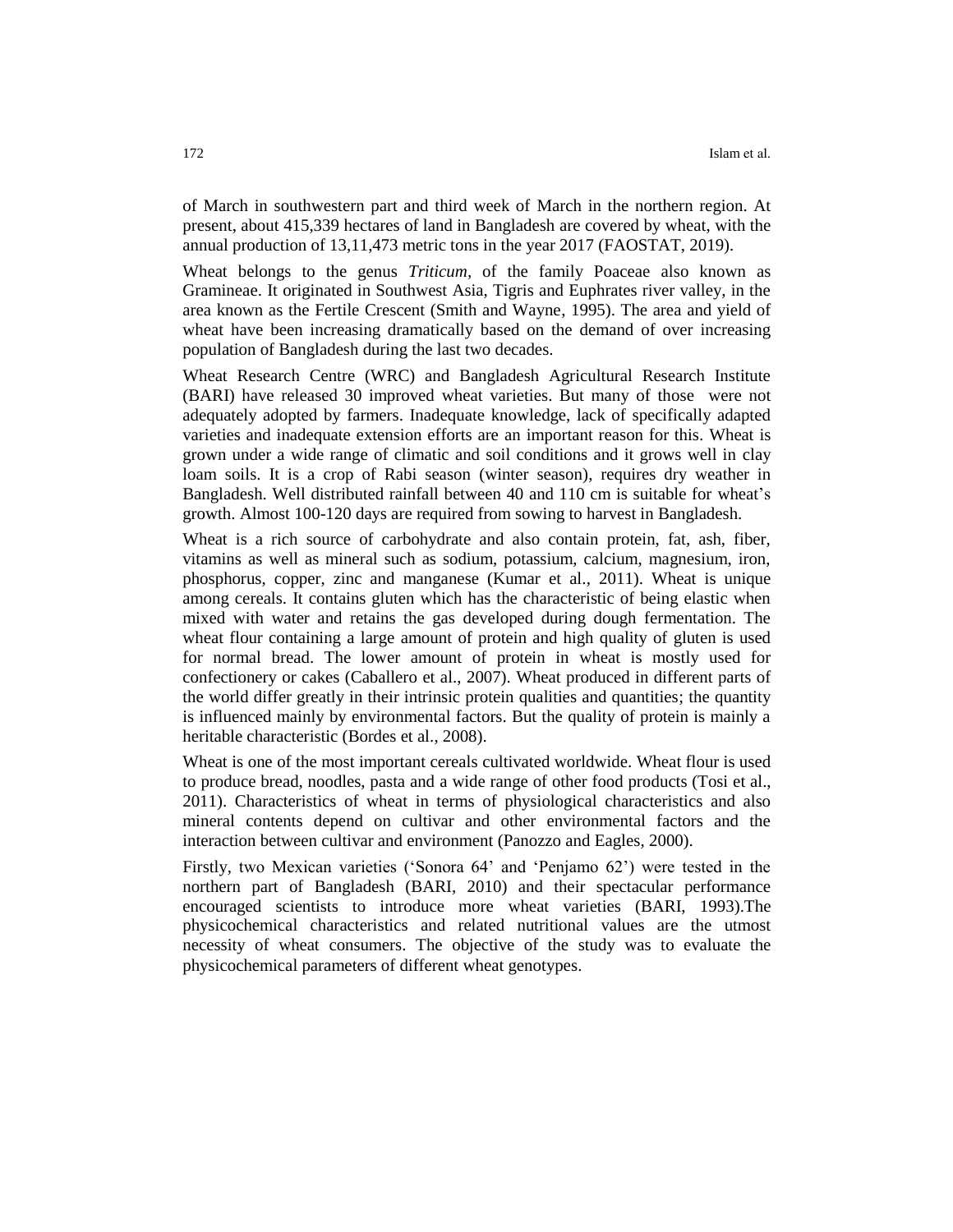of March in southwestern part and third week of March in the northern region. At present, about 415,339 hectares of land in Bangladesh are covered by wheat, with the annual production of 13,11,473 metric tons in the year 2017 (FAOSTAT, 2019).

Wheat belongs to the genus *Triticum,* of the family Poaceae also known as Gramineae. It originated in Southwest Asia, Tigris and Euphrates river valley, in the area known as the Fertile Crescent (Smith and Wayne, 1995). The area and yield of wheat have been increasing dramatically based on the demand of over increasing population of Bangladesh during the last two decades.

Wheat Research Centre (WRC) and Bangladesh Agricultural Research Institute (BARI) have released 30 improved wheat varieties. But many of those were not adequately adopted by farmers. Inadequate knowledge, lack of specifically adapted varieties and inadequate extension efforts are an important reason for this. Wheat is grown under a wide range of climatic and soil conditions and it grows well in clay loam soils. It is a crop of Rabi season (winter season), requires dry weather in Bangladesh. Well distributed rainfall between 40 and 110 cm is suitable for wheat's growth. Almost 100-120 days are required from sowing to harvest in Bangladesh.

Wheat is a rich source of carbohydrate and also contain protein, fat, ash, fiber, vitamins as well as mineral such as sodium, potassium, calcium, magnesium, iron, phosphorus, copper, zinc and manganese (Kumar et al., 2011). Wheat is unique among cereals. It contains gluten which has the characteristic of being elastic when mixed with water and retains the gas developed during dough fermentation. The wheat flour containing a large amount of protein and high quality of gluten is used for normal bread. The lower amount of protein in wheat is mostly used for confectionery or cakes (Caballero et al., 2007). Wheat produced in different parts of the world differ greatly in their intrinsic protein qualities and quantities; the quantity is influenced mainly by environmental factors. But the quality of protein is mainly a heritable characteristic (Bordes et al., 2008).

Wheat is one of the most important cereals cultivated worldwide. Wheat flour is used to produce bread, noodles, pasta and a wide range of other food products (Tosi et al., 2011). Characteristics of wheat in terms of physiological characteristics and also mineral contents depend on cultivar and other environmental factors and the interaction between cultivar and environment (Panozzo and Eagles, 2000).

Firstly, two Mexican varieties ('Sonora 64' and 'Penjamo 62') were tested in the northern part of Bangladesh (BARI, 2010) and their spectacular performance encouraged scientists to introduce more wheat varieties (BARI, 1993).The physicochemical characteristics and related nutritional values are the utmost necessity of wheat consumers. The objective of the study was to evaluate the physicochemical parameters of different wheat genotypes.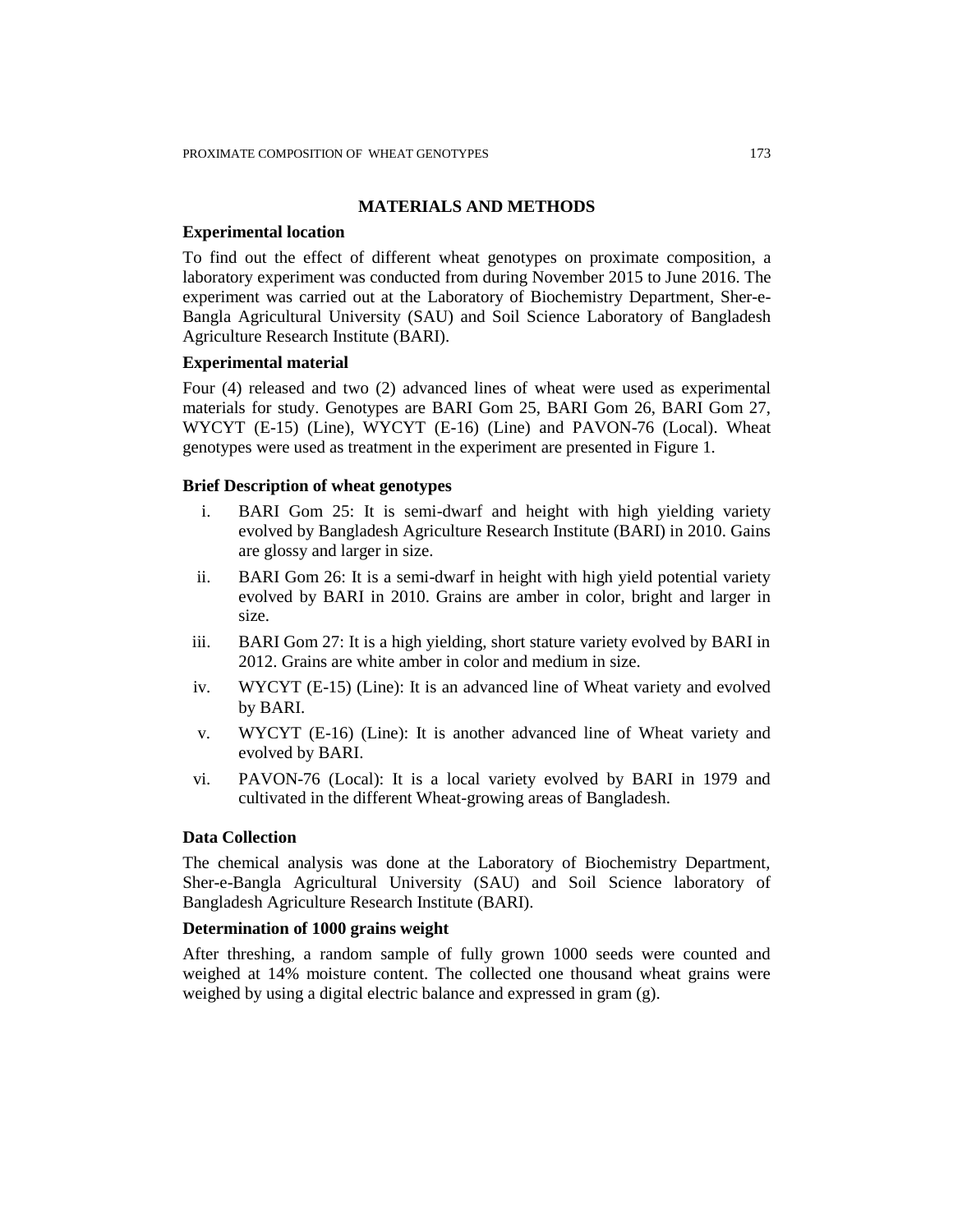# **MATERIALS AND METHODS**

#### **Experimental location**

To find out the effect of different wheat genotypes on proximate composition, a laboratory experiment was conducted from during November 2015 to June 2016. The experiment was carried out at the Laboratory of Biochemistry Department, Sher-e-Bangla Agricultural University (SAU) and Soil Science Laboratory of Bangladesh Agriculture Research Institute (BARI).

### **Experimental material**

Four (4) released and two (2) advanced lines of wheat were used as experimental materials for study. Genotypes are BARI Gom 25, BARI Gom 26, BARI Gom 27, WYCYT (E-15) (Line), WYCYT (E-16) (Line) and PAVON-76 (Local). Wheat genotypes were used as treatment in the experiment are presented in Figure 1.

# **Brief Description of wheat genotypes**

- i. BARI Gom 25: It is semi-dwarf and height with high yielding variety evolved by Bangladesh Agriculture Research Institute (BARI) in 2010. Gains are glossy and larger in size.
- ii. BARI Gom 26: It is a semi-dwarf in height with high yield potential variety evolved by BARI in 2010. Grains are amber in color, bright and larger in size.
- iii. BARI Gom 27: It is a high yielding, short stature variety evolved by BARI in 2012. Grains are white amber in color and medium in size.
- iv. WYCYT (E-15) (Line): It is an advanced line of Wheat variety and evolved by BARI.
- v. WYCYT (E-16) (Line): It is another advanced line of Wheat variety and evolved by BARI.
- vi. PAVON-76 (Local): It is a local variety evolved by BARI in 1979 and cultivated in the different Wheat-growing areas of Bangladesh.

### **Data Collection**

The chemical analysis was done at the Laboratory of Biochemistry Department, Sher-e-Bangla Agricultural University (SAU) and Soil Science laboratory of Bangladesh Agriculture Research Institute (BARI).

# **Determination of 1000 grains weight**

After threshing, a random sample of fully grown 1000 seeds were counted and weighed at 14% moisture content. The collected one thousand wheat grains were weighed by using a digital electric balance and expressed in gram (g).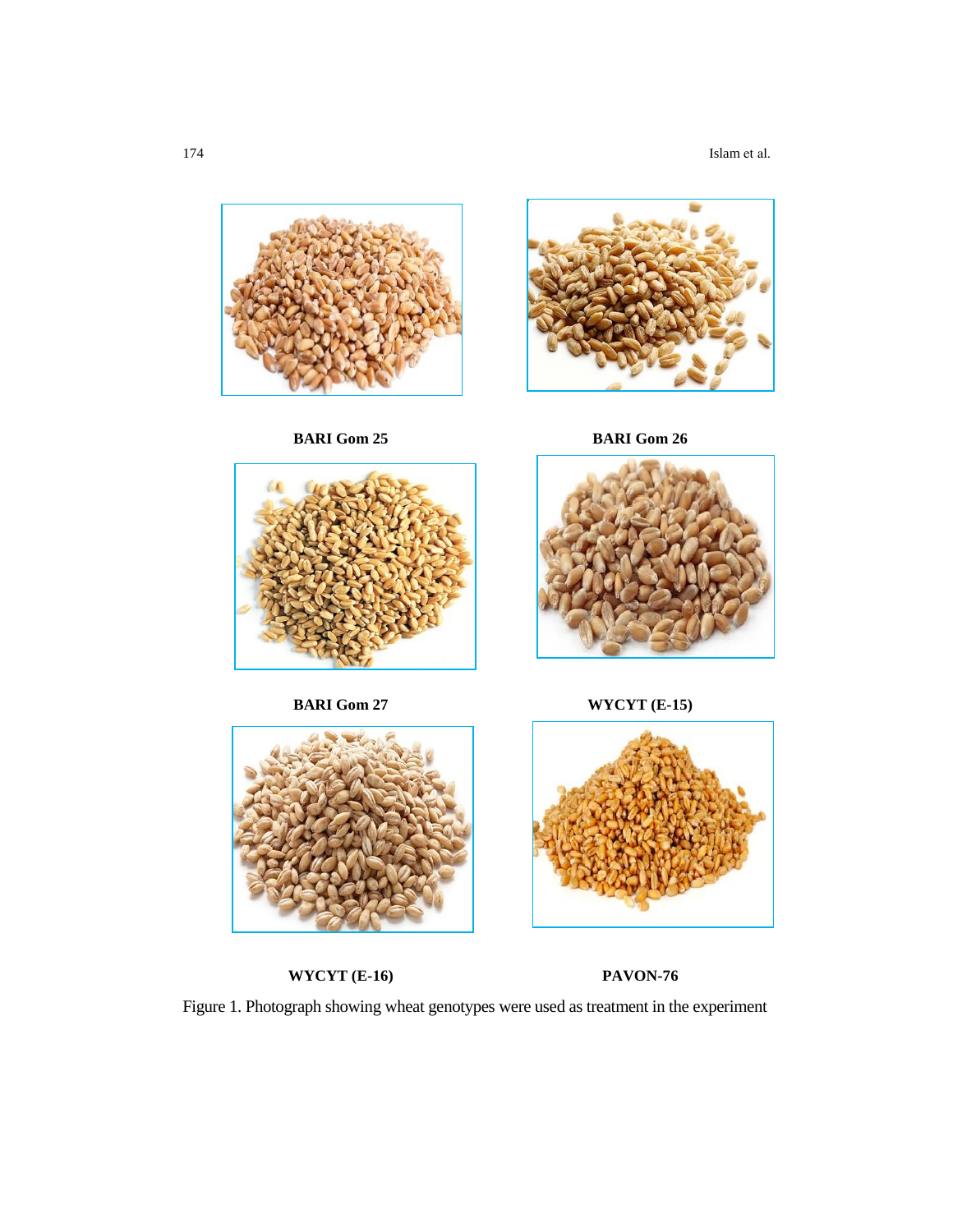174 Islam et al.



**BARI Gom 25 BARI Gom 26**







**WYCYT (E-16) PAVON-76**

**BARI Gom 27 WYCYT (E-15)**



Figure 1. Photograph showing wheat genotypes were used as treatment in the experiment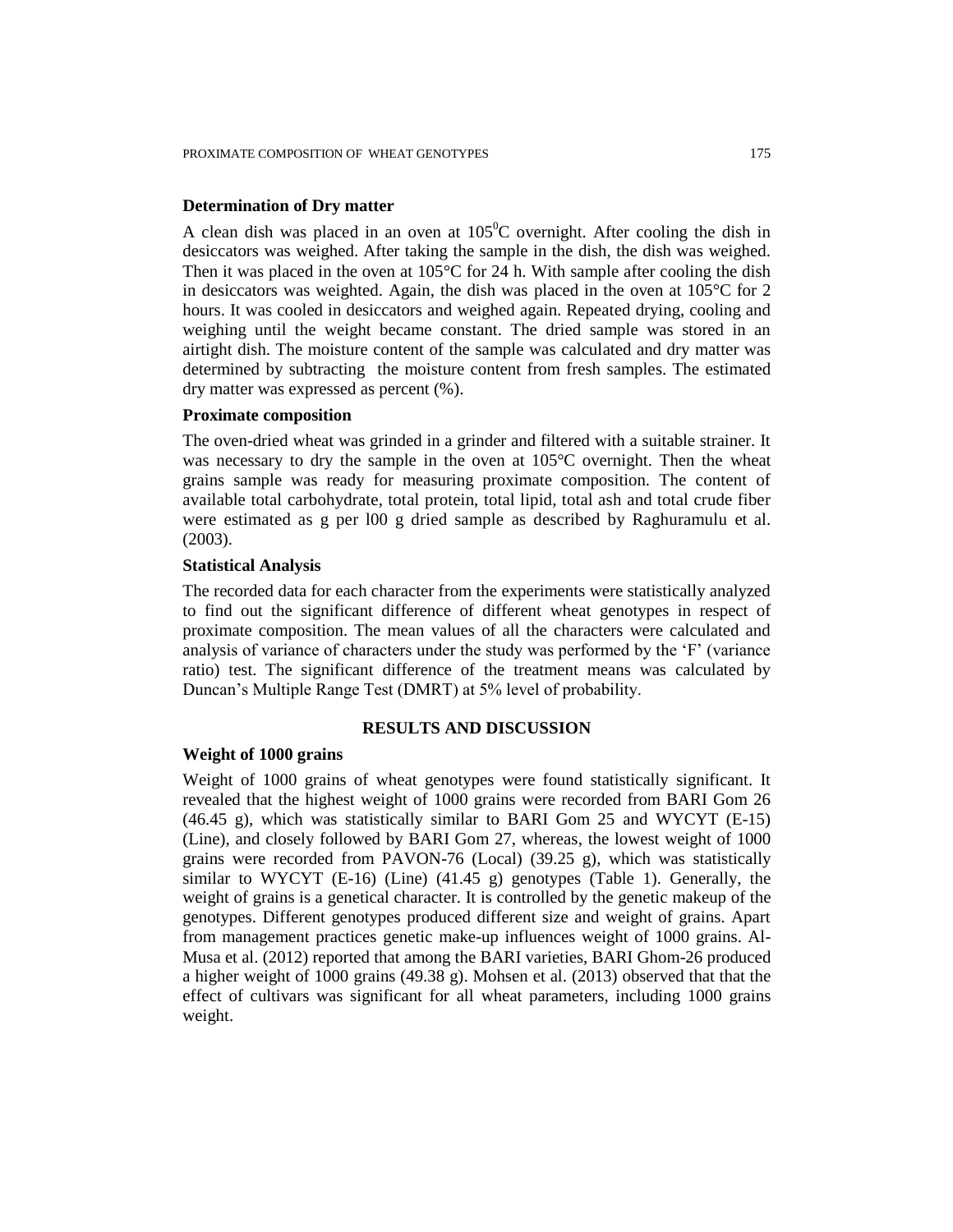#### **Determination of Dry matter**

A clean dish was placed in an oven at  $105^{\circ}$ C overnight. After cooling the dish in desiccators was weighed. After taking the sample in the dish, the dish was weighed. Then it was placed in the oven at 105°C for 24 h. With sample after cooling the dish in desiccators was weighted. Again, the dish was placed in the oven at  $105^{\circ}$ C for 2 hours. It was cooled in desiccators and weighed again. Repeated drying, cooling and weighing until the weight became constant. The dried sample was stored in an airtight dish. The moisture content of the sample was calculated and dry matter was determined by subtracting the moisture content from fresh samples. The estimated dry matter was expressed as percent (%).

#### **Proximate composition**

The oven-dried wheat was grinded in a grinder and filtered with a suitable strainer. It was necessary to dry the sample in the oven at 105°C overnight. Then the wheat grains sample was ready for measuring proximate composition. The content of available total carbohydrate, total protein, total lipid, total ash and total crude fiber were estimated as g per l00 g dried sample as described by Raghuramulu et al. (2003).

# **Statistical Analysis**

The recorded data for each character from the experiments were statistically analyzed to find out the significant difference of different wheat genotypes in respect of proximate composition. The mean values of all the characters were calculated and analysis of variance of characters under the study was performed by the 'F' (variance ratio) test. The significant difference of the treatment means was calculated by Duncan's Multiple Range Test (DMRT) at 5% level of probability.

# **RESULTS AND DISCUSSION**

#### **Weight of 1000 grains**

Weight of 1000 grains of wheat genotypes were found statistically significant. It revealed that the highest weight of 1000 grains were recorded from BARI Gom 26  $(46.45 \text{ g})$ , which was statistically similar to BARI Gom 25 and WYCYT (E-15) (Line), and closely followed by BARI Gom 27, whereas, the lowest weight of 1000 grains were recorded from PAVON-76 (Local) (39.25 g), which was statistically similar to WYCYT (E-16) (Line) (41.45 g) genotypes (Table 1). Generally, the weight of grains is a genetical character. It is controlled by the genetic makeup of the genotypes. Different genotypes produced different size and weight of grains. Apart from management practices genetic make-up influences weight of 1000 grains. Al-Musa et al. (2012) reported that among the BARI varieties, BARI Ghom-26 produced a higher weight of 1000 grains (49.38 g). Mohsen et al. (2013) observed that that the effect of cultivars was significant for all wheat parameters, including 1000 grains weight.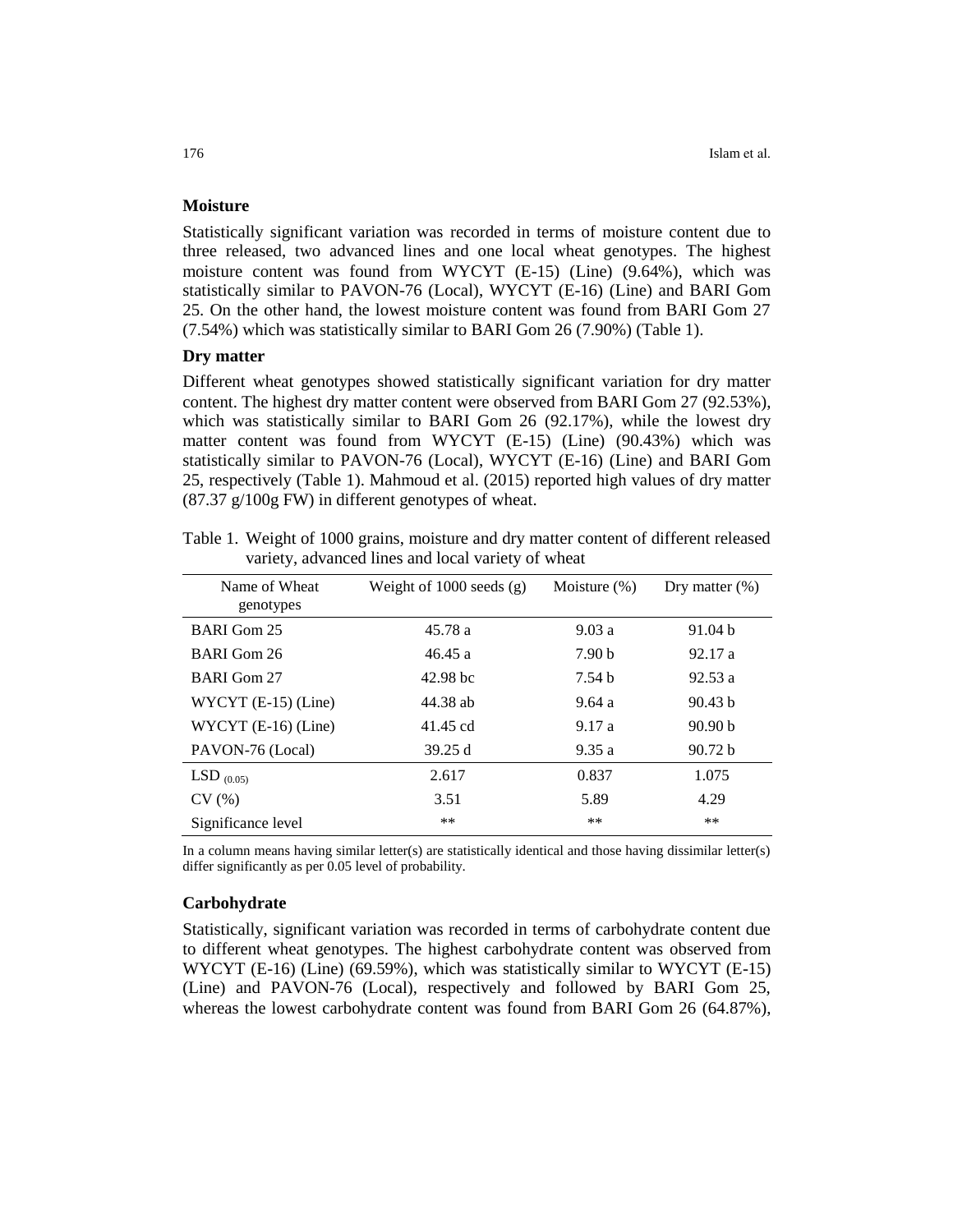# **Moisture**

Statistically significant variation was recorded in terms of moisture content due to three released, two advanced lines and one local wheat genotypes. The highest moisture content was found from WYCYT (E-15) (Line) (9.64%), which was statistically similar to PAVON-76 (Local), WYCYT (E-16) (Line) and BARI Gom 25. On the other hand, the lowest moisture content was found from BARI Gom 27 (7.54%) which was statistically similar to BARI Gom 26 (7.90%) (Table 1).

#### **Dry matter**

Different wheat genotypes showed statistically significant variation for dry matter content. The highest dry matter content were observed from BARI Gom 27 (92.53%), which was statistically similar to BARI Gom 26 (92.17%), while the lowest dry matter content was found from WYCYT (E-15) (Line) (90.43%) which was statistically similar to PAVON-76 (Local), WYCYT (E-16) (Line) and BARI Gom 25, respectively (Table 1). Mahmoud et al. (2015) reported high values of dry matter (87.37 g/100g FW) in different genotypes of wheat.

| Name of Wheat<br>genotypes | Weight of $1000$ seeds $(g)$ | Moisture $(\%)$   | Dry matter $(\%)$ |
|----------------------------|------------------------------|-------------------|-------------------|
| BARI Gom 25                | 45.78 a                      | 9.03a             | 91.04 b           |
| BARI Gom 26                | 46.45a                       | 7.90 <sub>b</sub> | 92.17a            |
| <b>BARI</b> Gom 27         | $42.98$ bc                   | 7.54h             | 92.53a            |
| WYCYT $(E-15)$ (Line)      | 44.38 ab                     | 9.64a             | 90.43 b           |
| $WYCYT$ (E-16) (Line)      | 41.45 cd                     | 9.17 a            | 90.90 b           |
| PAVON-76 (Local)           | 39.25 d                      | 9.35a             | 90.72 b           |
| LSD $_{(0.05)}$            | 2.617                        | 0.837             | 1.075             |
| CV(%)                      | 3.51                         | 5.89              | 4.29              |
| Significance level         | $***$                        | $***$             | $***$             |

Table 1. Weight of 1000 grains, moisture and dry matter content of different released variety, advanced lines and local variety of wheat

In a column means having similar letter(s) are statistically identical and those having dissimilar letter(s) differ significantly as per 0.05 level of probability.

#### **Carbohydrate**

Statistically, significant variation was recorded in terms of carbohydrate content due to different wheat genotypes. The highest carbohydrate content was observed from WYCYT (E-16) (Line) (69.59%), which was statistically similar to WYCYT (E-15) (Line) and PAVON-76 (Local), respectively and followed by BARI Gom 25, whereas the lowest carbohydrate content was found from BARI Gom 26 (64.87%),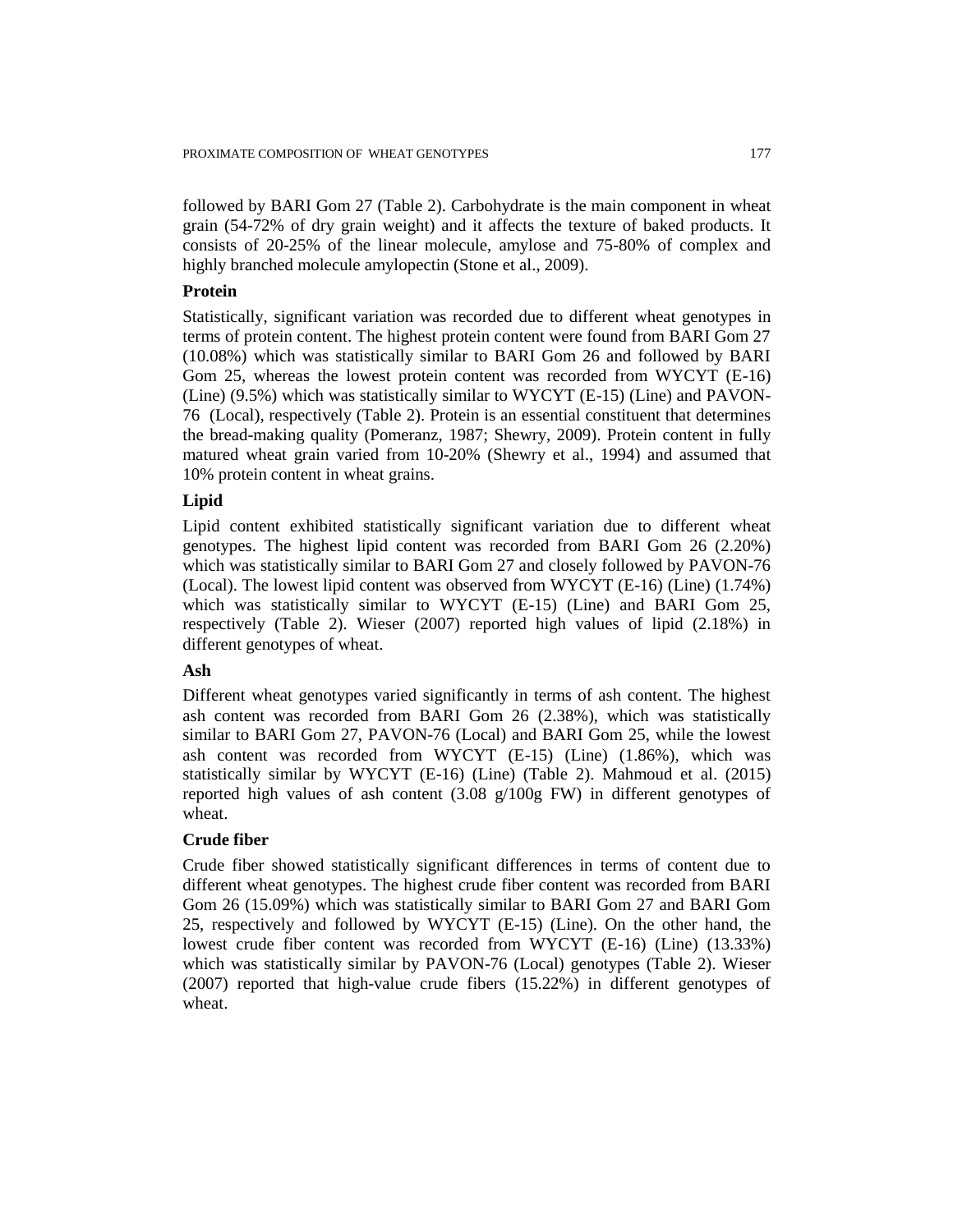followed by BARI Gom 27 (Table 2). Carbohydrate is the main component in wheat grain (54-72% of dry grain weight) and it affects the texture of baked products. It consists of 20-25% of the linear molecule, amylose and 75-80% of complex and highly branched molecule amylopectin (Stone et al., 2009).

# **Protein**

Statistically, significant variation was recorded due to different wheat genotypes in terms of protein content. The highest protein content were found from BARI Gom 27 (10.08%) which was statistically similar to BARI Gom 26 and followed by BARI Gom 25, whereas the lowest protein content was recorded from WYCYT (E-16) (Line) (9.5%) which was statistically similar to WYCYT (E-15) (Line) and PAVON-76 (Local), respectively (Table 2). Protein is an essential constituent that determines the bread-making quality (Pomeranz, 1987; Shewry, 2009). Protein content in fully matured wheat grain varied from 10-20% (Shewry et al., 1994) and assumed that 10% protein content in wheat grains.

# **Lipid**

Lipid content exhibited statistically significant variation due to different wheat genotypes. The highest lipid content was recorded from BARI Gom 26 (2.20%) which was statistically similar to BARI Gom 27 and closely followed by PAVON-76 (Local). The lowest lipid content was observed from WYCYT (E-16) (Line) (1.74%) which was statistically similar to WYCYT (E-15) (Line) and BARI Gom 25, respectively (Table 2). Wieser (2007) reported high values of lipid (2.18%) in different genotypes of wheat.

# **Ash**

Different wheat genotypes varied significantly in terms of ash content. The highest ash content was recorded from BARI Gom 26 (2.38%), which was statistically similar to BARI Gom 27, PAVON-76 (Local) and BARI Gom 25, while the lowest ash content was recorded from WYCYT (E-15) (Line) (1.86%), which was statistically similar by WYCYT (E-16) (Line) (Table 2). Mahmoud et al. (2015) reported high values of ash content (3.08 g/100g FW) in different genotypes of wheat.

# **Crude fiber**

Crude fiber showed statistically significant differences in terms of content due to different wheat genotypes. The highest crude fiber content was recorded from BARI Gom 26 (15.09%) which was statistically similar to BARI Gom 27 and BARI Gom 25, respectively and followed by WYCYT (E-15) (Line). On the other hand, the lowest crude fiber content was recorded from WYCYT (E-16) (Line) (13.33%) which was statistically similar by PAVON-76 (Local) genotypes (Table 2). Wieser (2007) reported that high-value crude fibers (15.22%) in different genotypes of wheat.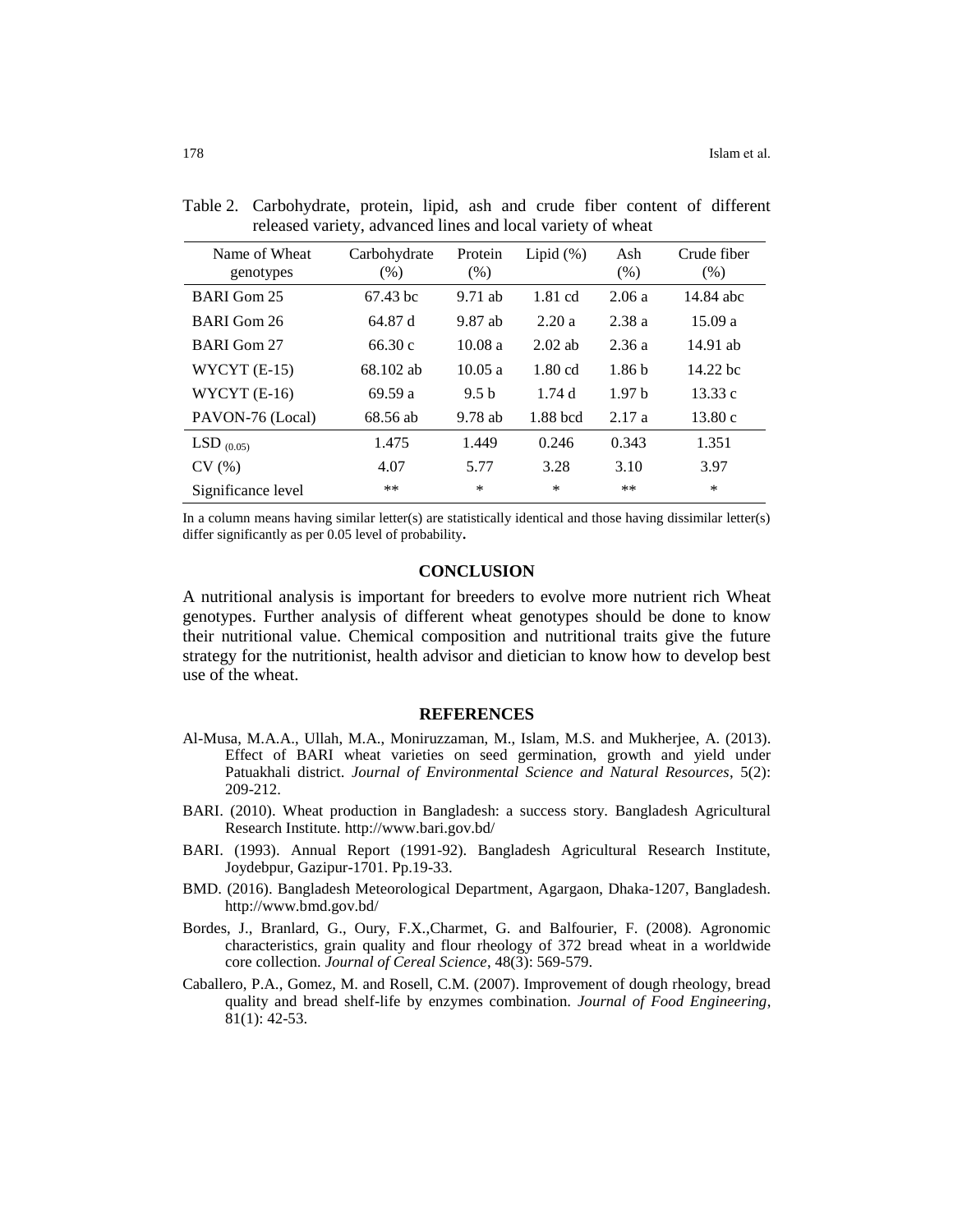| Name of Wheat<br>genotypes | Carbohydrate<br>$(\% )$ | Protein<br>$(\%)$ | Lipid $(\%)$ | Ash<br>(% )       | Crude fiber<br>(% ) |
|----------------------------|-------------------------|-------------------|--------------|-------------------|---------------------|
| <b>BARI</b> Gom 25         | 67.43 bc                | $9.71$ ab         | 1.81 cd      | 2.06a             | 14.84 abc           |
| BARI Gom 26                | 64.87 d                 | 9.87 ab           | 2.20a        | 2.38a             | 15.09a              |
| <b>BARI</b> Gom 27         | 66.30c                  | 10.08a            | $2.02$ ab    | 2.36a             | 14.91 ab            |
| $WYCYT(E-15)$              | 68.102 ab               | 10.05a            | $1.80$ cd    | 1.86 <sub>b</sub> | $14.22$ bc          |
| WYCYT $(E-16)$             | 69.59 a                 | 9.5 <sub>b</sub>  | 1.74d        | 1.97 <sub>b</sub> | 13.33c              |
| PAVON-76 (Local)           | 68.56 ab                | $9.78$ ab         | 1.88 bcd     | 2.17a             | 13.80c              |
| $LSD_{(0.05)}$             | 1.475                   | 1.449             | 0.246        | 0.343             | 1.351               |
| CV(%)                      | 4.07                    | 5.77              | 3.28         | 3.10              | 3.97                |
| Significance level         | **                      | $\ast$            | $\ast$       | **                | $\ast$              |

Table 2. Carbohydrate, protein, lipid, ash and crude fiber content of different released variety, advanced lines and local variety of wheat

In a column means having similar letter(s) are statistically identical and those having dissimilar letter(s) differ significantly as per 0.05 level of probability**.**

#### **CONCLUSION**

A nutritional analysis is important for breeders to evolve more nutrient rich Wheat genotypes. Further analysis of different wheat genotypes should be done to know their nutritional value. Chemical composition and nutritional traits give the future strategy for the nutritionist, health advisor and dietician to know how to develop best use of the wheat.

#### **REFERENCES**

- Al-Musa, M.A.A., Ullah, M.A., Moniruzzaman, M., Islam, M.S. and Mukherjee, A. (2013). Effect of BARI wheat varieties on seed germination, growth and yield under Patuakhali district. *Journal of Environmental Science and Natural Resources*, 5(2): 209-212.
- BARI. (2010). Wheat production in Bangladesh: a success story. Bangladesh Agricultural Research Institute. http://www.bari.gov.bd/
- BARI. (1993). Annual Report (1991-92). Bangladesh Agricultural Research Institute, Joydebpur, Gazipur-1701. Pp.19-33.
- BMD. (2016). Bangladesh Meteorological Department, Agargaon, Dhaka-1207, Bangladesh. http://www.bmd.gov.bd/
- Bordes, J., Branlard, G., Oury, F.X.,Charmet, G. and Balfourier, F. (2008). Agronomic characteristics, grain quality and flour rheology of 372 bread wheat in a worldwide core collection. *Journal of Cereal Science*, 48(3): 569-579.
- Caballero, P.A., Gomez, M. and Rosell, C.M. (2007). Improvement of dough rheology, bread quality and bread shelf-life by enzymes combination. *Journal of Food Engineering*, 81(1): 42-53.